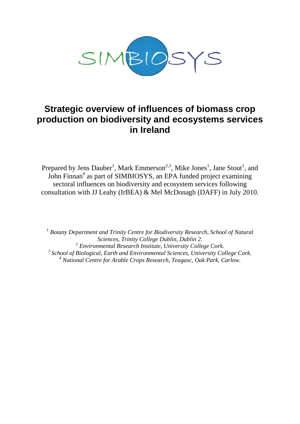

# **Strategic overview of influences of biomass crop production on biodiversity and ecosystems services in Ireland**

Prepared by Jens Dauber<sup>1</sup>, Mark Emmerson<sup>2,3</sup>, Mike Jones<sup>1</sup>, Jane Stout<sup>1</sup>, and John Finnan<sup>4</sup> as part of SIMBIOSYS, an EPA funded project examining sectoral influences on biodiversity and ecosystem services following consultation with JJ Leahy (IrBEA) & Mel McDonagh (DAFF) in July 2010.

*<sup>1</sup> Botany Department and Trinity Centre for Biodiversity Research, School of Natural Sciences, Trinity College Dublin, Dublin 2. <sup>2</sup> Environmental Research Institute, University College Cork. 3 School of Biological, Earth and Environmental Sciences, University College Cork. <sup>4</sup> National Centre for Arable Crops Research, Teagasc, Oak Park, Carlow.*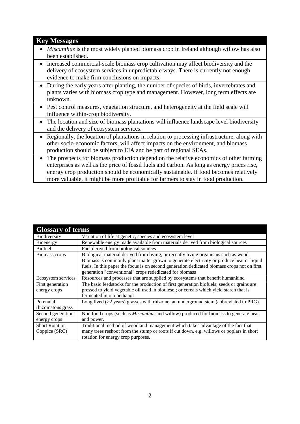# **Key Messages**

- *Miscanthus* is the most widely planted biomass crop in Ireland although willow has also been established.
- Increased commercial-scale biomass crop cultivation may affect biodiversity and the delivery of ecosystem services in unpredictable ways. There is currently not enough evidence to make firm conclusions on impacts.
- During the early years after planting, the number of species of birds, invertebrates and plants varies with biomass crop type and management. However, long term effects are unknown.
- Pest control measures, vegetation structure, and heterogeneity at the field scale will influence within-crop biodiversity.
- The location and size of biomass plantations will influence landscape level biodiversity and the delivery of ecosystem services.
- Regionally, the location of plantations in relation to processing infrastructure, along with other socio-economic factors, will affect impacts on the environment, and biomass production should be subject to EIA and be part of regional SEAs.
- The prospects for biomass production depend on the relative economics of other farming enterprises as well as the price of fossil fuels and carbon. As long as energy prices rise, energy crop production should be economically sustainable. If food becomes relatively more valuable, it might be more profitable for farmers to stay in food production.

| <b>Glossary of terms</b> |                                                                                             |
|--------------------------|---------------------------------------------------------------------------------------------|
| Biodiversity             | Variation of life at genetic, species and ecosystem level                                   |
| Bioenergy                | Renewable energy made available from materials derived from biological sources              |
| <b>Biofuel</b>           | Fuel derived from biological sources                                                        |
| Biomass crops            | Biological material derived from living, or recently living organisms such as wood.         |
|                          | Biomass is commonly plant matter grown to generate electricity or produce heat or liquid    |
|                          | fuels. In this paper the focus is on second generation dedicated biomass crops not on first |
|                          | generation "conventional" crops rededicated for biomass                                     |
| Ecosystem services       | Resources and processes that are supplied by ecosystems that benefit humankind              |
| First generation         | The basic feedstocks for the production of first generation biofuels: seeds or grains are   |
| energy crops             | pressed to yield vegetable oil used in biodiesel; or cereals which yield starch that is     |
|                          | fermented into bioethanol                                                                   |
| Perennial                | Long lived $(>2$ years) grasses with rhizome, an underground stem (abbreviated to PRG)      |
| rhizomatous grass        |                                                                                             |
| Second generation        | Non food crops (such as <i>Miscanthus</i> and willow) produced for biomass to generate heat |
| energy crops             | and power.                                                                                  |
| <b>Short Rotation</b>    | Traditional method of woodland management which takes advantage of the fact that            |
| Coppice (SRC)            | many trees reshoot from the stump or roots if cut down, e.g. willows or poplars in short    |
|                          | rotation for energy crop purposes.                                                          |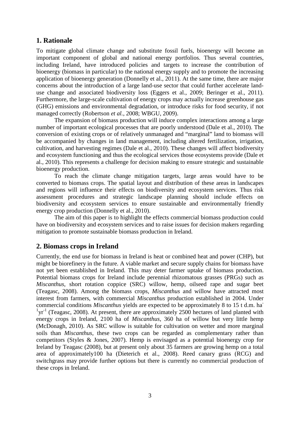# **1. Rationale**

To mitigate global climate change and substitute fossil fuels, bioenergy will become an important component of global and national energy portfolios. Thus several countries, including Ireland, have introduced policies and targets to increase the contribution of bioenergy (biomass in particular) to the national energy supply and to promote the increasing application of bioenergy generation (Donnelly et al., 2011). At the same time, there are major concerns about the introduction of a large land-use sector that could further accelerate landuse change and associated biodiversity loss (Eggers et al., 2009; Beringer et al., 2011). Furthermore, the large-scale cultivation of energy crops may actually increase greenhouse gas (GHG) emissions and environmental degradation, or introduce risks for food security, if not managed correctly (Robertson *et al.*, 2008; WBGU, 2009).

The expansion of biomass production will induce complex interactions among a large number of important ecological processes that are poorly understood (Dale et al., 2010). The conversion of existing crops or of relatively unmanaged and "marginal" land to biomass will be accompanied by changes in land management, including altered fertilization, irrigation, cultivation, and harvesting regimes (Dale et al., 2010). These changes will affect biodiversity and ecosystem functioning and thus the ecological services those ecosystems provide (Dale et al., 2010). This represents a challenge for decision making to ensure strategic and sustainable bioenergy production.

To reach the climate change mitigation targets, large areas would have to be converted to biomass crops. The spatial layout and distribution of these areas in landscapes and regions will influence their effects on biodiversity and ecosystem services. Thus risk assessment procedures and strategic landscape planning should include effects on biodiversity and ecosystem services to ensure sustainable and environmentally friendly energy crop production (Donnelly et al., 2010).

The aim of this paper is to highlight the effects commercial biomass production could have on biodiversity and ecosystem services and to raise issues for decision makers regarding mitigation to promote sustainable biomass production in Ireland.

# **2. Biomass crops in Ireland**

Currently, the end use for biomass in Ireland is heat or combined heat and power (CHP), but might be biorefinery in the future. A viable market and secure supply chains for biomass have not yet been established in Ireland. This may deter farmer uptake of biomass production. Potential biomass crops for Ireland include perennial rhizomatous grasses (PRGs) such as *Miscanthus*, short rotation coppice (SRC) willow, hemp, oilseed rape and sugar beet (Teagasc, 2008). Among the biomass crops, *Miscanthus* and willow have attracted most interest from farmers, with commercial *Miscanthus* production established in 2004. Under commercial conditions *Miscanthus* yields are expected to be approximately 8 to 15 t d.m. ha- $1\text{yr}^{-1}$  (Teagasc, 2008). At present, there are approximately 2500 hectares of land planted with energy crops in Ireland, 2100 ha of *Miscanthus*, 360 ha of willow but very little hemp (McDonagh, 2010). As SRC willow is suitable for cultivation on wetter and more marginal soils than *Miscanthus*, these two crops can be regarded as complementary rather than competitors (Styles & Jones, 2007). Hemp is envisaged as a potential bioenergy crop for Ireland by Teagasc (2008), but at present only about 35 farmers are growing hemp on a total area of approximately100 ha (Dieterich et al., 2008). Reed canary grass (RCG) and switchgrass may provide further options but there is currently no commercial production of these crops in Ireland.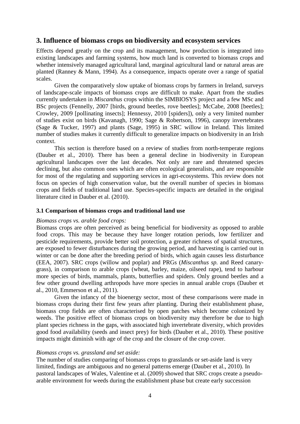# **3. Influence of biomass crops on biodiversity and ecosystem services**

Effects depend greatly on the crop and its management, how production is integrated into existing landscapes and farming systems, how much land is converted to biomass crops and whether intensively managed agricultural land, marginal agricultural land or natural areas are planted (Ranney & Mann, 1994). As a consequence, impacts operate over a range of spatial scales.

Given the comparatively slow uptake of biomass crops by farmers in Ireland, surveys of landscape-scale impacts of biomass crops are difficult to make. Apart from the studies currently undertaken in *Miscanthus* crops within the SIMBIOSYS project and a few MSc and BSc projects (Fennelly, 2007 [birds, ground beetles, rove beetles]; McCabe, 2008 [beetles]; Crowley, 2009 [pollinating insects]; Hennessy, 2010 [spiders]), only a very limited number of studies exist on birds (Kavanagh, 1990; Sage & Robertson, 1996), canopy invertebrates (Sage & Tucker, 1997) and plants (Sage, 1995) in SRC willow in Ireland. This limited number of studies makes it currently difficult to generalize impacts on biodiversity in an Irish context.

This section is therefore based on a review of studies from north-temperate regions (Dauber et al., 2010). There has been a general decline in biodiversity in European agricultural landscapes over the last decades. Not only are rare and threatened species declining, but also common ones which are often ecological generalists, and are responsible for most of the regulating and supporting services in agri-ecosystems. This review does not focus on species of high conservation value, but the overall number of species in biomass crops and fields of traditional land use. Species-specific impacts are detailed in the original literature cited in Dauber et al. (2010).

#### **3.1 Comparison of biomass crops and traditional land use**

#### *Biomass crops vs. arable food crops:*

Biomass crops are often perceived as being beneficial for biodiversity as opposed to arable food crops. This may be because they have longer rotation periods, low fertilizer and pesticide requirements, provide better soil protection, a greater richness of spatial structures, are exposed to fewer disturbances during the growing period, and harvesting is carried out in winter or can be done after the breeding period of birds, which again causes less disturbance (EEA, 2007). SRC crops (willow and poplar) and PRGs (*Miscanthus sp.* and Reed canarygrass), in comparison to arable crops (wheat, barley, maize, oilseed rape), tend to harbour more species of birds, mammals, plants, butterflies and spiders. Only ground beetles and a few other ground dwelling arthropods have more species in annual arable crops (Dauber et al., 2010, Emmerson et al., 2011).

Given the infancy of the bioenergy sector, most of these comparisons were made in biomass crops during their first few years after planting. During their establishment phase, biomass crop fields are often characterised by open patches which become colonized by weeds. The positive effect of biomass crops on biodiversity may therefore be due to high plant species richness in the gaps, with associated high invertebrate diversity, which provides good food availability (seeds and insect prey) for birds (Dauber et al., 2010). These positive impacts might diminish with age of the crop and the closure of the crop cover.

#### *Biomass crops vs. grassland and set aside:*

The number of studies comparing of biomass crops to grasslands or set-aside land is very limited, findings are ambiguous and no general patterns emerge (Dauber et al., 2010). In pastoral landscapes of Wales, Valentine et al. (2009) showed that SRC crops create a pseudoarable environment for weeds during the establishment phase but create early succession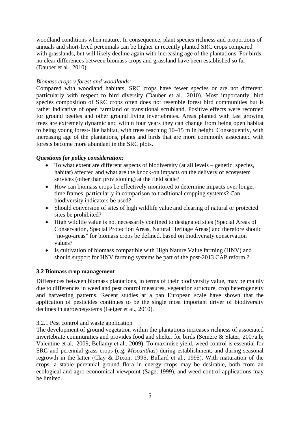woodland conditions when mature. In consequence, plant species richness and proportions of annuals and short-lived perennials can be higher in recently planted SRC crops compared with grasslands, but will likely decline again with increasing age of the plantations. For birds no clear differences between biomass crops and grassland have been established so far (Dauber et al., 2010).

## *Biomass crops v forest and woodlands:*

Compared with woodland habitats, SRC crops have fewer species or are not different, particularly with respect to bird diversity (Dauber et al., 2010). Most importantly, bird species composition of SRC crops often does not resemble forest bird communities but is rather indicative of open farmland or transitional scrubland. Positive effects were recorded for ground beetles and other ground living invertebrates. Areas planted with fast growing trees are extremely dynamic and within four years they can change from being open habitat to being young forest-like habitat, with trees reaching 10–15 m in height. Consequently, with increasing age of the plantations, plants and birds that are more commonly associated with forests become more abundant in the SRC plots.

## *Questions for policy consideration:*

- To what extent are different aspects of biodiversity (at all levels genetic, species, habitat) affected and what are the knock-on impacts on the delivery of ecosystem services (other than provisioning) at the field scale?
- How can biomass crops be effectively monitored to determine impacts over longertime frames, particularly in comparison to traditional cropping systems? Can biodiversity indicators be used?
- Should conversion of sites of high wildlife value and clearing of natural or protected sites be prohibited?
- High wildlife value is not necessarily confined to designated sites (Special Areas of Conservation, Special Protection Areas, Natural Heritage Areas) and therefore should "no-go-areas" for biomass crops be defined, based on biodiversity conservation values?
- Is cultivation of biomass compatible with High Nature Value farming (HNV) and should support for HNV farming systems be part of the post-2013 CAP reform ?

#### **3.2 Biomass crop management**

Differences between biomass plantations, in terms of their biodiversity value, may be mainly due to differences in weed and pest control measures, vegetation structure, crop heterogeneity and harvesting patterns. Recent studies at a pan European scale have shown that the application of pesticides continues to be the single most important driver of biodiversity declines in agroecosystems (Geiger et al., 2010).

#### 3.2.1 Pest control and waste application

The development of ground vegetation within the plantations increases richness of associated invertebrate communities and provides food and shelter for birds (Semere & Slater, 2007a,b; Valentine et al., 2009; Bellamy et al., 2009). To maximise yield, weed control is essential for SRC and perennial grass crops (e.g. *Miscanthus*) during establishment, and during seasonal regrowth in the latter (Clay & Dixon, 1995; Bullard et al., 1995). With maturation of the crops, a stable perennial ground flora in energy crops may be desirable, both from an ecological and agro-economical viewpoint (Sage, 1999), and weed control applications may be limited.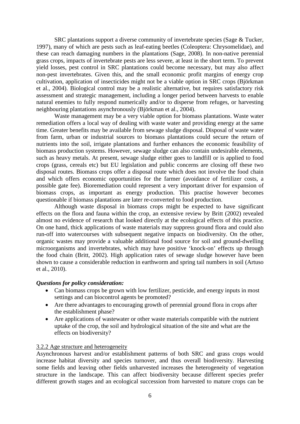SRC plantations support a diverse community of invertebrate species (Sage & Tucker, 1997), many of which are pests such as leaf-eating beetles (Coleoptera: Chrysomelidae), and these can reach damaging numbers in the plantations (Sage, 2008). In non-native perennial grass crops, impacts of invertebrate pests are less severe, at least in the short term. To prevent yield losses, pest control in SRC plantations could become necessary, but may also affect non-pest invertebrates. Given this, and the small economic profit margins of energy crop cultivation, application of insecticides might not be a viable option in SRC crops (Björkman et al., 2004). Biological control may be a realistic alternative, but requires satisfactory risk assessment and strategic management, including a longer period between harvests to enable natural enemies to fully respond numerically and/or to disperse from refuges, or harvesting neighbouring plantations asynchronously (Björkman et al., 2004).

Waste management may be a very viable option for biomass plantations. Waste water remediation offers a local way of dealing with waste water and providing energy at the same time. Greater benefits may be available from sewage sludge disposal. Disposal of waste water from farm, urban or industrial sources to biomass plantations could secure the return of nutrients into the soil, irrigate plantations and further enhances the economic feasibility of biomass production systems. However, sewage sludge can also contain undesirable elements, such as heavy metals. At present, sewage sludge either goes to landfill or is applied to food crops (grass, cereals etc) but EU legislation and public concerns are closing off these two disposal routes. Biomass crops offer a disposal route which does not involve the food chain and which offers economic opportunities for the farmer (avoidance of fertilizer costs, a possible gate fee). Bioremediation could represent a very important driver for expansion of biomass crops, as important as energy production. This practise however becomes questionable if biomass plantations are later re-converted to food production.

Although waste disposal in biomass crops might be expected to have significant effects on the flora and fauna within the crop, an extensive review by Britt (2002) revealed almost no evidence of research that looked directly at the ecological effects of this practice. On one hand, thick applications of waste materials may suppress ground flora and could also run-off into watercourses with subsequent negative impacts on biodiversity. On the other, organic wastes may provide a valuable additional food source for soil and ground-dwelling microorganisms and invertebrates, which may have positive 'knock-on' effects up through the food chain (Britt, 2002). High application rates of sewage sludge however have been shown to cause a considerable reduction in earthworm and spring tail numbers in soil (Artuso et al., 2010).

#### *Questions for policy consideration:*

- Can biomass crops be grown with low fertilizer, pesticide, and energy inputs in most settings and can biocontrol agents be promoted?
- Are there advantages to encouraging growth of perennial ground flora in crops after the establishment phase?
- Are applications of wastewater or other waste materials compatible with the nutrient uptake of the crop, the soil and hydrological situation of the site and what are the effects on biodiversity?

#### 3.2.2 Age structure and heterogeneity

Asynchronous harvest and/or establishment patterns of both SRC and grass crops would increase habitat diversity and species turnover, and thus overall biodiversity. Harvesting some fields and leaving other fields unharvested increases the heterogeneity of vegetation structure in the landscape. This can affect biodiversity because different species prefer different growth stages and an ecological succession from harvested to mature crops can be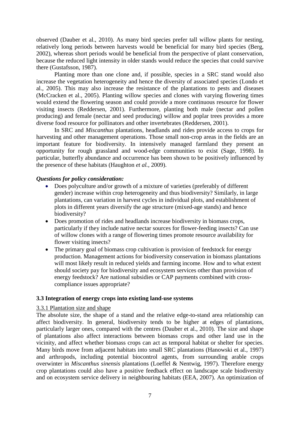observed (Dauber et al., 2010). As many bird species prefer tall willow plants for nesting, relatively long periods between harvests would be beneficial for many bird species (Berg, 2002), whereas short periods would be beneficial from the perspective of plant conservation, because the reduced light intensity in older stands would reduce the species that could survive there (Gustafsson, 1987).

Planting more than one clone and, if possible, species in a SRC stand would also increase the vegetation heterogeneity and hence the diversity of associated species (Londo et al., 2005). This may also increase the resistance of the plantations to pests and diseases (McCracken et al., 2005). Planting willow species and clones with varying flowering times would extend the flowering season and could provide a more continuous resource for flower visiting insects (Reddersen, 2001). Furthermore, planting both male (nectar and pollen producing) and female (nectar and seed producing) willow and poplar trees provides a more diverse food resource for pollinators and other invertebrates (Reddersen, 2001).

In SRC and *Miscanthus* plantations, headlands and rides provide access to crops for harvesting and other management operations. Those small non-crop areas in the fields are an important feature for biodiversity. In intensively managed farmland they present an opportunity for rough grassland and wood-edge communities to exist (Sage, 1998). In particular, butterfly abundance and occurrence has been shown to be positively influenced by the presence of these habitats (Haughton *et al.*, 2009).

#### *Questions for policy consideration:*

- Does polyculture and/or growth of a mixture of varieties (preferably of different gender) increase within crop heterogeneity and thus biodiversity? Similarly, in large plantations, can variation in harvest cycles in individual plots, and establishment of plots in different years diversify the age structure (mixed-age stands) and hence biodiversity?
- Does promotion of rides and headlands increase biodiversity in biomass crops, particularly if they include native nectar sources for flower-feeding insects? Can use of willow clones with a range of flowering times promote resource availability for flower visiting insects?
- The primary goal of biomass crop cultivation is provision of feedstock for energy production. Management actions for biodiversity conservation in biomass plantations will most likely result in reduced yields and farming income. How and to what extent should society pay for biodiversity and ecosystem services other than provision of energy feedstock? Are national subsidies or CAP payments combined with crosscompliance issues appropriate?

#### **3.3 Integration of energy crops into existing land-use systems**

## 3.3.1 Plantation size and shape

The absolute size, the shape of a stand and the relative edge-to-stand area relationship can affect biodiversity. In general, biodiversity tends to be higher at edges of plantations, particularly larger ones, compared with the centres (Dauber et al., 2010). The size and shape of plantations also affect interactions between biomass crops and other land use in the vicinity, and affect whether biomass crops can act as temporal habitat or shelter for species. Many birds move from adjacent habitats into small SRC plantations (Hanowski et al., 1997) and arthropods, including potential biocontrol agents, from surrounding arable crops overwinter in *Miscanthus sinensis* plantations (Loeffel & Nentwig, 1997). Therefore energy crop plantations could also have a positive feedback effect on landscape scale biodiversity and on ecosystem service delivery in neighbouring habitats (EEA, 2007). An optimization of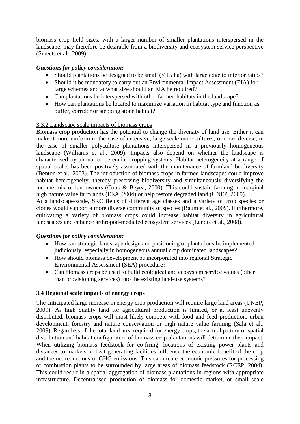biomass crop field sizes, with a larger number of smaller plantations interspersed in the landscape, may therefore be desirable from a biodiversity and ecosystem service perspective (Smeets et al., 2009).

# *Questions for policy consideration:*

- Should plantations be designed to be small  $(< 15$  ha) with large edge to interior ratios?
- Should it be mandatory to carry out an Environmental Impact Assessment (EIA) for large schemes and at what size should an EIA be required?
- Can plantations be interspersed with other farmed habitats in the landscape?
- How can plantations be located to maximize variation in habitat type and function as buffer, corridor or stepping stone habitat?

# 3.3.2 Landscape scale impacts of biomass crops

Biomass crop production has the potential to change the diversity of land use. Either it can make it more uniform in the case of extensive, large scale monocultures, or more diverse, in the case of smaller polyculture plantations interspersed in a previously homogeneous landscape (Williams et al., 2009). Impacts also depend on whether the landscape is characterised by annual or perennial cropping systems. Habitat heterogeneity at a range of spatial scales has been positively associated with the maintenance of farmland biodiversity (Benton et al., 2003). The introduction of biomass crops in farmed landscapes could improve habitat heterogeneity, thereby preserving biodiversity and simultaneously diversifying the income mix of landowners (Cook & Beyea, 2000). This could sustain farming in marginal high nature value farmlands (EEA, 2004) or help restore degraded land (UNEP, 2009).

At a landscape-scale, SRC fields of different age classes and a variety of crop species or clones would support a more diverse community of species (Baum et al., 2009). Furthermore, cultivating a variety of biomass crops could increase habitat diversity in agricultural landscapes and enhance arthropod-mediated ecosystem services (Landis et al., 2008).

# *Questions for policy consideration:*

- How can strategic landscape design and positioning of plantations be implemented judiciously, especially in homogeneous annual crop dominated landscapes?
- How should biomass development be incorporated into regional Strategic Environmental Assessment (SEA) procedure?
- Can biomass crops be used to build ecological and ecosystem service values (other than provisioning services) into the existing land-use systems?

# **3.4 Regional scale impacts of energy crops**

The anticipated large increase in energy crop production will require large land areas (UNEP, 2009). As high quality land for agricultural production is limited, or at least unevenly distributed, biomass crops will most likely compete with food and feed production, urban development, forestry and nature conservation or high nature value farming (Sala et al., 2009). Regardless of the total land area required for energy crops, the actual pattern of spatial distribution and habitat configuration of biomass crop plantations will determine their impact. When utilizing biomass feedstock for co-firing, locations of existing power plants and distances to markets or heat generating facilities influence the economic benefit of the crop and the net reductions of GHG emissions. This can create economic pressures for processing or combustion plants to be surrounded by large areas of biomass feedstock (RCEP, 2004). This could result in a spatial aggregation of biomass plantations in regions with appropriate infrastructure. Decentralised production of biomass for domestic market, or small scale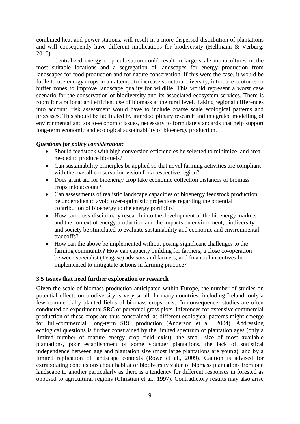combined heat and power stations, will result in a more dispersed distribution of plantations and will consequently have different implications for biodiversity (Hellmann & Verburg, 2010).

Centralized energy crop cultivation could result in large scale monocultures in the most suitable locations and a segregation of landscapes for energy production from landscapes for food production and for nature conservation. If this were the case, it would be futile to use energy crops in an attempt to increase structural diversity, introduce ecotones or buffer zones to improve landscape quality for wildlife. This would represent a worst case scenario for the conservation of biodiversity and its associated ecosystem services. There is room for a rational and efficient use of biomass at the rural level. Taking regional differences into account, risk assessment would have to include coarse scale ecological patterns and processes. This should be facilitated by interdisciplinary research and integrated modelling of environmental and socio-economic issues, necessary to formulate standards that help support long-term economic and ecological sustainability of bioenergy production.

## *Questions for policy consideration:*

- Should feedstock with high conversion efficiencies be selected to minimize land area needed to produce biofuels?
- Can sustainability principles be applied so that novel farming activities are compliant with the overall conservation vision for a respective region?
- Does grant aid for bioenergy crop take economic collection distances of biomass crops into account?
- Can assessments of realistic landscape capacities of bioenergy feedstock production be undertaken to avoid over-optimistic projections regarding the potential contribution of bioenergy to the energy portfolio?
- How can cross-disciplinary research into the development of the bioenergy markets and the context of energy production and the impacts on environment, biodiversity and society be stimulated to evaluate sustainability and economic and environmental tradeoffs?
- How can the above be implemented without posing significant challenges to the farming community? How can capacity building for farmers, a close co-operation between specialist (Teagasc) advisors and farmers, and financial incentives be implemented to mitigatate actions in farming practice?

#### **3.5 Issues that need further exploration or research**

Given the scale of biomass production anticipated within Europe, the number of studies on potential effects on biodiversity is very small. In many countries, including Ireland, only a few commercially planted fields of biomass crops exist. In consequence, studies are often conducted on experimental SRC or perennial grass plots. Inferences for extensive commercial production of these crops are thus constrained, as different ecological patterns might emerge for full-commercial, long-term SRC production (Anderson et al., 2004). Addressing ecological questions is further constrained by the limited spectrum of plantation ages (only a limited number of mature energy crop field exist), the small size of most available plantations, poor establishment of some younger plantations, the lack of statistical independence between age and plantation size (most large plantations are young), and by a limited replication of landscape contexts (Rowe et al., 2009). Caution is advised for extrapolating conclusions about habitat or biodiversity value of biomass plantations from one landscape to another particularly as there is a tendency for different responses in forested as opposed to agricultural regions (Christian et al., 1997). Contradictory results may also arise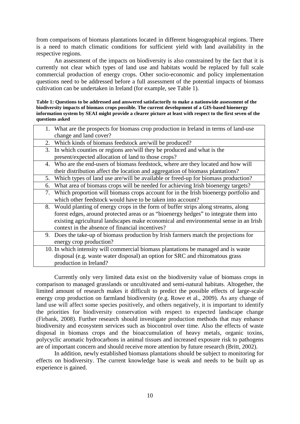from comparisons of biomass plantations located in different biogeographical regions. There is a need to match climatic conditions for sufficient yield with land availability in the respective regions.

An assessment of the impacts on biodiversity is also constrained by the fact that it is currently not clear which types of land use and habitats would be replaced by full scale commercial production of energy crops. Other socio-economic and policy implementation questions need to be addressed before a full assessment of the potential impacts of biomass cultivation can be undertaken in Ireland (for example, see Table 1).

**Table 1: Questions to be addressed and answered satisfactorily to make a nationwide assessment of the biodiversity impacts of biomass crops possible. The current development of a GIS-based bioenergy information system by SEAI might provide a clearer picture at least with respect to the first seven of the questions asked**

| 1. What are the prospects for biomass crop production in Ireland in terms of land-use |
|---------------------------------------------------------------------------------------|
| change and land cover?                                                                |
| 2. Which kinds of biomass feedstock are/will be produced?                             |

- 3. In which counties or regions are/will they be produced and what is the present/expected allocation of land to those crops?
- 4. Who are the end-users of biomass feedstock, where are they located and how will their distribution affect the location and aggregation of biomass plantations?
- 5. Which types of land use are/will be available or freed-up for biomass production?
- 6. What area of biomass crops will be needed for achieving Irish bioenergy targets?
- 7. Which proportion will biomass crops account for in the Irish bioenergy portfolio and which other feedstock would have to be taken into account?
- 8. Would planting of energy crops in the form of buffer strips along streams, along forest edges, around protected areas or as "bioenergy hedges" to integrate them into existing agricultural landscapes make economical and environmental sense in an Irish context in the absence of financial incentives?
- 9. Does the take-up of biomass production by Irish farmers match the projections for energy crop production?
- 10. In which intensity will commercial biomass plantations be managed and is waste disposal (e.g. waste water disposal) an option for SRC and rhizomatous grass production in Ireland?

Currently only very limited data exist on the biodiversity value of biomass crops in comparison to managed grasslands or uncultivated and semi-natural habitats. Altogether, the limited amount of research makes it difficult to predict the possible effects of large-scale energy crop production on farmland biodiversity (e.g. Rowe et al., 2009). As any change of land use will affect some species positively, and others negatively, it is important to identify the priorities for biodiversity conservation with respect to expected landscape change (Firbank, 2008). Further research should investigate production methods that may enhance biodiversity and ecosystem services such as biocontrol over time. Also the effects of waste disposal in biomass crops and the bioaccumulation of heavy metals, organic toxins, polycyclic aromatic hydrocarbons in animal tissues and increased exposure risk to pathogens are of important concern and should receive more attention by future research (Britt, 2002).

In addition, newly established biomass plantations should be subject to monitoring for effects on biodiversity. The current knowledge base is weak and needs to be built up as experience is gained.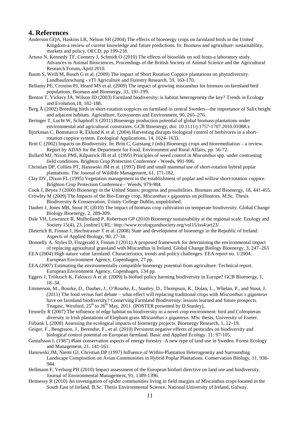#### **4. References**

- Anderson GQA, Haskins LR, Nelson SH (2004) The effects of bioenergy crops on farmland birds in the United Kingdom-a review of current knowledge and future predictions. In: Biomass and agriculture: sustainability, markets and policy, OECD, pp 199-218.
- Artuso N, Kennedy TF, Connery J, Schmidt O (2010) The effects of biosolids on soil biota-a laboratory study. Advances in Animal Biosciences, Proceedings of the British Society of Animal Science and the Agricultural Research Forum, April 2010.
- Baum S, Weih M, Busch G et al. (2009) The impact of Short Rotation Coppice plantations on phytodiversity. Landbauforschung - vTI Agriculture and Forestry Research, 59, 163-170.
- Bellamy PE, Croxton PJ, Heard MS et al. (2009) The impact of growing miscanthus for biomass on farmland bird populations. Biomass and Bioenergy, 33, 191-199.
- Benton T, Vickery JA, Wilson JD (2003) Farmland biodiversity: is habitat heterogeneity the key? Trends in Ecology and Evolution,18, 182-188.
- Berg Å (2002) Breeding birds in short-rotation coppices on farmland in central Sweden—the importance of Salix height and adjacent habitats. Agriculture, Ecosystems and Environment, 90, 265–276.
- Beringer T, Lucht W, Schaphoff S (2011) Bioenergy production potential of global biomass plantations under environmental and agricultural constraints. GCB Bioenergy, doi: 10.1111/j.1757-1707.2010.01088.x
- Björkman C, Bommarco R, Eklund K et al. (2004) Harvesting disrupts biological control of herbivores in a shortrotation coppice system. Ecological Applications, 14, 1624–1633.
- Britt C (2002) Impacts on Biodiversity. In: Britt C, Garstang J (eds) Bioenergy crops and bioremediation a review. Report by ADAS for the Department for Food, Environment and Rural Affairs, pp. 56-72.
- Bullard MJ, Nixon PMI, Kilpatrick JB et al. (1995) Principles of weed control in *Miscanthus* spp. under contrasting field conditions. Brighton Crop Protection Conference - Weeds, 991-996.
- Christian DP, Collins PT, Hanowski JM et al. (1997) Bird and small mammal use of short-rotation hybrid poplar plantations. The Journal of Wildlife Management, 61, 171-182.
- Clay DV, Dixon FL (1995) Vegetation management in the establishment of poplar and willow short-rotation coppice. Brighton Crop Protection Conference – Weeds, 979-984.
- Cook J, Beyea J (2000) Bioenergy in the United States: progress and possibilities. Biomass and Bioenergy, 18, 441-455.
- Crowley M (2009) The Impacts of the Bio-Energy crop, *Miscanthus x giganteus* on pollinators. M.Sc. Thesis Biodiversity & Conservation, Trinity College Dublin, unpublished.
- Dauber J, Jones MB, Stout JC (2010) The impact of biomass crop cultivation on temperate biodiversity. Global Change Biology Bioenergy, 2, 289-309.
- Dale VH, Lowrance R, Mulholland P, Robertson GP (2010) Bioenergy sustainability at the regional scale. Ecology and Society 15(4), 23. [online] URL: http://www.ecologyandsociety.org/vol15/iss4/art23/
- Dieterich B, Finnan J, Hochstrasser T et al. (2008) State and development of bioenergy in the Republic of Ireland. Aspects of Applied Biology, 90, 27-34.
- Donnelly A, Styles D, Fitzgerald J, Finnan J (2011) A proposed framework for determining the environmental impact of replacing agricultural grassland with Miscanthus in Ireland. Global Change Biology Bioenergy, 3, 247–263
- EEA (2004) High nature value farmland. Characteristics, trends and policy challenges. EEA report no. 1/2004. European Environment Agency, Copenhagen, 27 pp.
- EEA (2007) Estimating the environmentally compatible bioenergy potential from agriculture. Technical report. European Environment Agency, Copenhagen, 134 pp.
- Eggers J, Tröltzsch K, Falcucci A et al. (2009) Is biofuel policy harming biodiversity in Europe? GCB Bioenergy, 1, 18–34.
- Emmerson, M., Bourke, D., Dauber, J., O'Rourke, E., Stanley, D., Thompson, R., Dolan, L., Whelan, P., and Stout, J. (2011) The food versus fuel debate – what effect will replacing traditional crops with *Miscanthus x giganteus* have on farmland biodiversity? Conserving Farmland Biodiversity: lessons learned and future prospects. Teagasc, Wexford,  $25<sup>th</sup>$  to  $26<sup>th</sup>$  May, 2011. (POSTER presented by D Stanley).
- Fennelly R (2007) The influence of edge habitat on biodiversity in a novel crop environment: bird and Coleopteran diversity in Irish plantations of Elephant grass *Miscanthus x giganteus*. MSc thesis, University of Exeter.
- Firbank L (2008) Assessing the ecological impacts of bioenergy projects. Bioenergy Research, 1, 12–19.
- Geiger, F., Bengtsson, J., Berendse, F., et al. (2010) Persistent negative effects of pesticides on biodiversity and biological control potential on European farmland. Basic and Applied Ecology. 11: 97-105.
- Gustafsson L (1987) Plant conservation aspects of energy forestry -A new type of land use in Sweden. Forest Ecology and Management, 21, 141-161.
- Hanowski JM, Niemi GJ, Christian DP (1997) Influence of Within-Plantation Heterogeneity and Surrounding Landscape Composition on Avian Communities in Hybrid Poplar Plantations. Conservation Biology, 11, 936- 944.
- Hellmann F, Verburg PH (2010) Impact assessment of the European biofuel directive on land use and biodiversity. Journal of Environmental Management, 91, 1389-1396.
- Hennessy R (2010) An investigation of spider communities living in field margins of Miscanthus crops located in the South East of Ireland. B.Sc. Thesis Environmental Science, National University of Ireland, Galway.